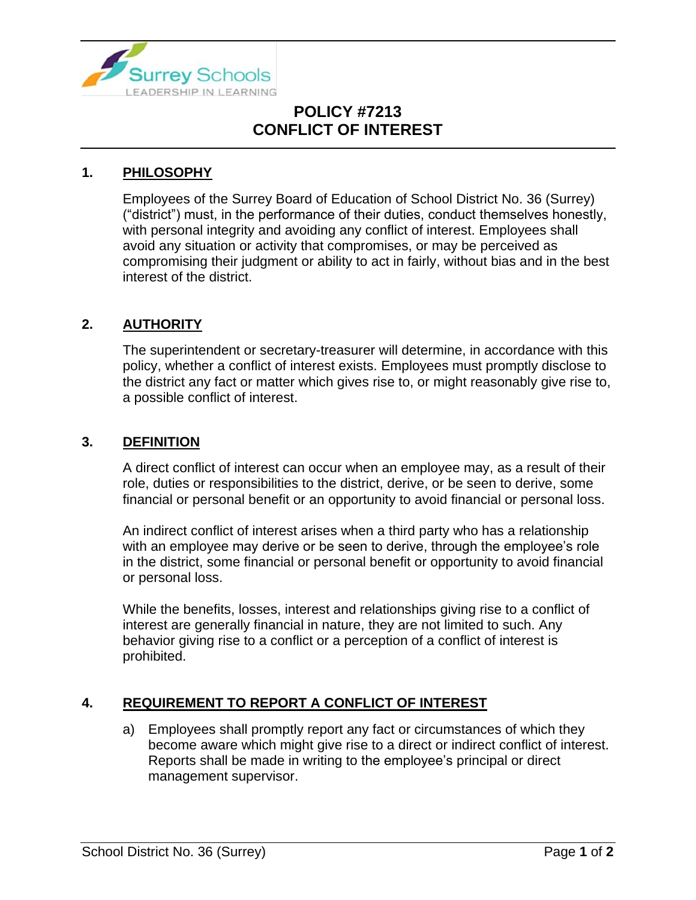

## **POLICY #7213 CONFLICT OF INTEREST**

## **1. PHILOSOPHY**

Employees of the Surrey Board of Education of School District No. 36 (Surrey) ("district") must, in the performance of their duties, conduct themselves honestly, with personal integrity and avoiding any conflict of interest. Employees shall avoid any situation or activity that compromises, or may be perceived as compromising their judgment or ability to act in fairly, without bias and in the best interest of the district.

## **2. AUTHORITY**

The superintendent or secretary-treasurer will determine, in accordance with this policy, whether a conflict of interest exists. Employees must promptly disclose to the district any fact or matter which gives rise to, or might reasonably give rise to, a possible conflict of interest.

#### **3. DEFINITION**

A direct conflict of interest can occur when an employee may, as a result of their role, duties or responsibilities to the district, derive, or be seen to derive, some financial or personal benefit or an opportunity to avoid financial or personal loss.

An indirect conflict of interest arises when a third party who has a relationship with an employee may derive or be seen to derive, through the employee's role in the district, some financial or personal benefit or opportunity to avoid financial or personal loss.

While the benefits, losses, interest and relationships giving rise to a conflict of interest are generally financial in nature, they are not limited to such. Any behavior giving rise to a conflict or a perception of a conflict of interest is prohibited.

## **4. REQUIREMENT TO REPORT A CONFLICT OF INTEREST**

a) Employees shall promptly report any fact or circumstances of which they become aware which might give rise to a direct or indirect conflict of interest. Reports shall be made in writing to the employee's principal or direct management supervisor.